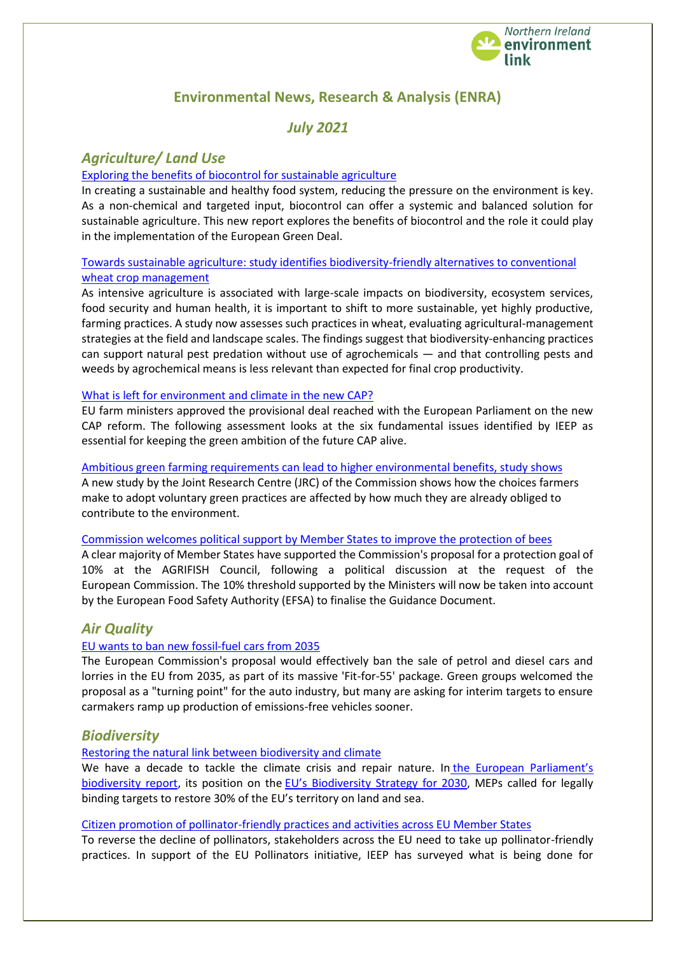

# **Environmental News, Research & Analysis (ENRA)**

# *July 2021*

# *Agriculture/ Land Use*

## [Exploring the benefits of biocontrol for sustainable agriculture](https://ieep.eu/publications/exploring-the-benefits-of-biocontrol-for-sustainable-agriculture)

In creating a sustainable and healthy food system, reducing the pressure on the environment is key. As a non-chemical and targeted input, biocontrol can offer a systemic and balanced solution for sustainable agriculture. This new report explores the benefits of biocontrol and the role it could play in the implementation of the European Green Deal.

## [Towards sustainable agriculture: study identifies biodiversity-friendly alternatives to conventional](https://ec.europa.eu/environment/integration/research/newsalert/pdf/564na5-1304_en-towards-sustainable-agriculture-in-german-wheat-fields.pdf)  [wheat crop management](https://ec.europa.eu/environment/integration/research/newsalert/pdf/564na5-1304_en-towards-sustainable-agriculture-in-german-wheat-fields.pdf)

As intensive agriculture is associated with large-scale impacts on biodiversity, ecosystem services, food security and human health, it is important to shift to more sustainable, yet highly productive, farming practices. A study now assesses such practices in wheat, evaluating agricultural-management strategies at the field and landscape scales. The findings suggest that biodiversity-enhancing practices can support natural pest predation without use of agrochemicals — and that controlling pests and weeds by agrochemical means is less relevant than expected for final crop productivity.

### [What is left for environment and climate in the new CAP?](https://ieep.eu/news/what-is-left-for-environment-and-climate-in-the-new-cap)

EU farm ministers approved the provisional deal reached with the European Parliament on the new CAP reform. The following assessment looks at the six fundamental issues identified by IEEP as essential for keeping the green ambition of the future CAP alive.

### [Ambitious green farming requirements can lead to higher environmental benefits, study shows](https://ec.europa.eu/info/news/ambitious-green-farming-requirements-can-lead-higher-environmental-benefits-study-shows-2021-jul-07_en)

A new study by the Joint Research Centre (JRC) of the Commission shows how the choices farmers make to adopt voluntary green practices are affected by how much they are already obliged to contribute to the environment.

### [Commission welcomes political support by Member States to improve the protection of bees](https://ec.europa.eu/commission/presscorner/detail/en/statement_21_3302)

A clear majority of Member States have supported the Commission's proposal for a protection goal of 10% at the AGRIFISH Council, following a political discussion at the request of the European Commission. The 10% threshold supported by the Ministers will now be taken into account by the European Food Safety Authority (EFSA) to finalise the Guidance Document.

# *Air Quality*

## [EU wants to ban new fossil-fuel cars from 2035](https://euobserver.com/climate/152452)

The European Commission's proposal would effectively ban the sale of petrol and diesel cars and lorries in the EU from 2035, as part of its massive 'Fit-for-55' package. Green groups welcomed the proposal as a "turning point" for the auto industry, but many are asking for interim targets to ensure carmakers ramp up production of emissions-free vehicles sooner.

# *Biodiversity*

## [Restoring the natural link between biodiversity and climate](https://meta.eeb.org/2021/06/22/restoring-the-natural-link-between-biodiversity-and-climate/)

We have a decade to tackle the climate crisis and repair nature. In the European Parliament's [biodiversity report,](https://eeb.us2.list-manage.com/track/click?u=1777448aafe85ef675bd9ea87&id=a45426344c&e=c694ab4e33) its position on the [EU's Biodiversity Strategy for 2030](https://eeb.us2.list-manage.com/track/click?u=1777448aafe85ef675bd9ea87&id=21358b7a29&e=c694ab4e33), MEPs called for legally binding targets to restore 30% of the EU's territory on land and sea.

### [Citizen promotion of pollinator-friendly practices and activities across EU Member States](https://ieep.eu/publications/citizen-promotion-of-pollinator-friendly-practices-and-activities-across-eu-member-states)

To reverse the decline of pollinators, stakeholders across the EU need to take up pollinator-friendly practices. In support of the EU Pollinators initiative, IEEP has surveyed what is being done for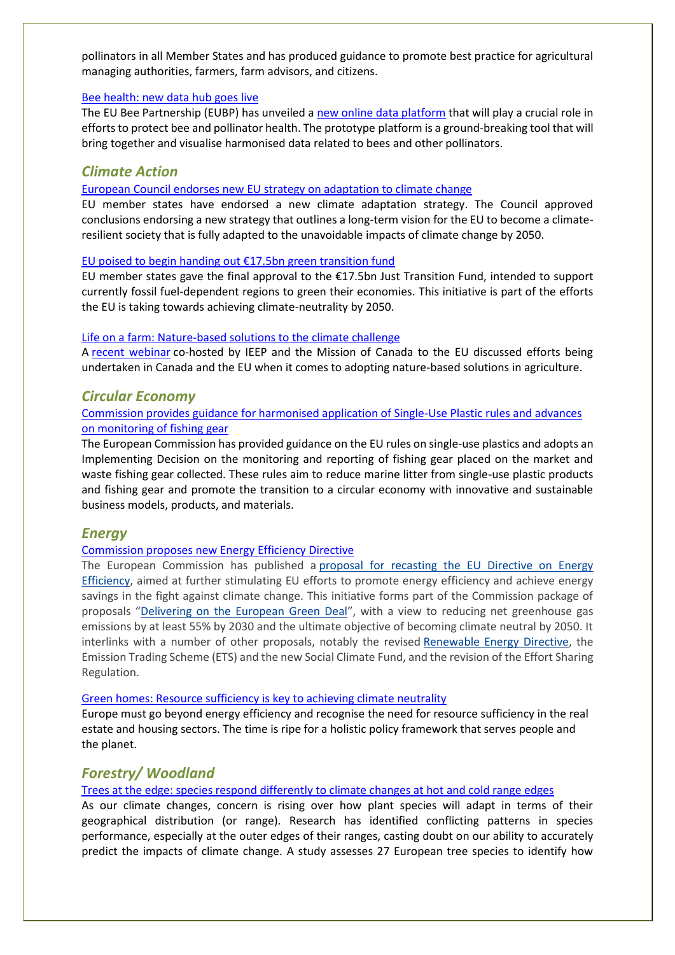pollinators in all Member States and has produced guidance to promote best practice for agricultural managing authorities, farmers, farm advisors, and citizens.

#### [Bee health: new data hub goes live](https://www.efsa.europa.eu/en/news/bee-health-new-data-hub-goes-live)

The EU Bee Partnership (EUBP) has unveiled a [new online data platform](https://bee-ppp.eu/) that will play a crucial role in efforts to protect bee and pollinator health. The prototype platform is a ground-breaking tool that will bring together and visualise harmonised data related to bees and other pollinators.

## *Climate Action*

[European Council endorses new EU strategy on adaptation to climate change](https://www.consilium.europa.eu/en/press/press-releases/2021/06/10/council-endorses-new-eu-strategy-on-adaptation-to-climate-change/)

EU member states have endorsed a new climate adaptation strategy. The Council approved conclusions endorsing a new strategy that outlines a long-term vision for the EU to become a climateresilient society that is fully adapted to the unavoidable impacts of climate change by 2050.

#### [EU poised to begin handing out €17.5bn green transition fund](https://euobserver.com/climate/152074)

EU member states gave the final approval to the €17.5bn Just Transition Fund, intended to support currently fossil fuel-dependent regions to green their economies. This initiative is part of the efforts the EU is taking towards achieving climate-neutrality by 2050.

#### [Life on a farm: Nature-based solutions to the climate challenge](https://ieep.eu/news/life-on-a-farm-nature-based-solutions-to-the-climate-challenge)

A [recent webinar](https://ieep.eu/news/event-life-on-a-farm-nature-based-solutions-to-the-climate-challenge) co-hosted by IEEP and the Mission of Canada to the EU discussed efforts being undertaken in Canada and the EU when it comes to adopting nature-based solutions in agriculture.

## *Circular Economy*

### [Commission provides guidance for harmonised application of Single-Use Plastic rules and advances](https://ec.europa.eu/commission/presscorner/detail/en/ip_21_2710)  [on monitoring of fishing gear](https://ec.europa.eu/commission/presscorner/detail/en/ip_21_2710)

The European Commission has provided guidance on the EU rules on single-use plastics and adopts an Implementing Decision on the monitoring and reporting of fishing gear placed on the market and waste fishing gear collected. These rules aim to reduce marine litter from single-use plastic products and fishing gear and promote the transition to a circular economy with innovative and sustainable business models, products, and materials.

### *Energy*

### [Commission proposes new Energy Efficiency Directive](https://ec.europa.eu/info/news/commission-proposes-new-energy-efficiency-directive-2021-jul-14_en)

The European Commission has published a proposal for recasting the EU Directive on Energy [Efficiency,](https://ec.europa.eu/info/files/amendment-energy-efficiency-directive-implement-ambition-new-2030-climate-target_en) aimed at further stimulating EU efforts to promote energy efficiency and achieve energy savings in the fight against climate change. This initiative forms part of the Commission package of proposals "[Delivering on the European Green Deal](https://ec.europa.eu/info/strategy/priorities-2019-2024/european-green-deal/delivering-european-green-deal_en)", with a view to reducing net greenhouse gas emissions by at least 55% by 2030 and the ultimate objective of becoming climate neutral by 2050. It interlinks with a number of other proposals, notably the revised [Renewable Energy Directive,](https://ec.europa.eu/info/news/commission-presents-renewable-energy-directive-revision-2021-jul-14_en) the Emission Trading Scheme (ETS) and the new Social Climate Fund, and the revision of the Effort Sharing Regulation.

#### [Green homes: Resource sufficiency is key to achieving climate neutrality](https://meta.eeb.org/2021/06/30/green-homes-resource-sufficiency-is-key-to-achieving-climate-neutrality/)

Europe must go beyond energy efficiency and recognise the need for resource sufficiency in the real estate and housing sectors. The time is ripe for a holistic policy framework that serves people and the planet.

## *Forestry/ Woodland*

#### [Trees at the edge: species respond differently to climate changes at hot and cold range edges](https://ec.europa.eu/environment/integration/research/newsalert/pdf/564na3-1302_en-demographic-performance-of-european-tree-species.pdf)

As our climate changes, concern is rising over how plant species will adapt in terms of their geographical distribution (or range). Research has identified conflicting patterns in species performance, especially at the outer edges of their ranges, casting doubt on our ability to accurately predict the impacts of climate change. A study assesses 27 European tree species to identify how